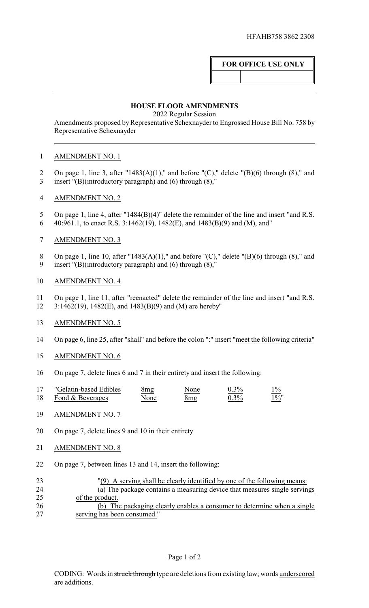# **FOR OFFICE USE ONLY**

### **HOUSE FLOOR AMENDMENTS**

2022 Regular Session

Amendments proposed by Representative Schexnayder to Engrossed House Bill No. 758 by Representative Schexnayder

## AMENDMENT NO. 1

- On page 1, line 3, after "1483(A)(1)," and before "(C)," delete "(B)(6) through (8)," and
- insert "(B)(introductory paragraph) and (6) through (8),"
- AMENDMENT NO. 2
- 5 On page 1, line 4, after "1484(B)(4)" delete the remainder of the line and insert "and R.S. 6 40:961.1, to enact R.S. 3:1462(19), 1482(E), and 1483(B)(9) and (M), and"
- AMENDMENT NO. 3
- 8 On page 1, line 10, after "1483(A)(1)," and before "(C)," delete "(B)(6) through (8)," and insert "(B)(introductory paragraph) and (6) through (8),"
- AMENDMENT NO. 4
- On page 1, line 11, after "reenacted" delete the remainder of the line and insert "and R.S.
- 3:1462(19), 1482(E), and 1483(B)(9) and (M) are hereby"
- AMENDMENT NO. 5
- On page 6, line 25, after "shall" and before the colon ":" insert "meet the following criteria"
- AMENDMENT NO. 6
- On page 7, delete lines 6 and 7 in their entirety and insert the following:

|    | "Gelatin-based Edibles | 8mg  | None | $0.3\%$ | $1\%$   |
|----|------------------------|------|------|---------|---------|
| 18 | Food & Beverages       | None | 8mg  | $0.3\%$ | $1\%$ " |

- AMENDMENT NO. 7
- On page 7, delete lines 9 and 10 in their entirety
- AMENDMENT NO. 8
- On page 7, between lines 13 and 14, insert the following:
- "(9) A serving shall be clearly identified by one of the following means: (a) The package contains a measuring device that measures single servings of the product. 26 (b) The packaging clearly enables a consumer to determine when a single<br>27 serving has been consumed." serving has been consumed."